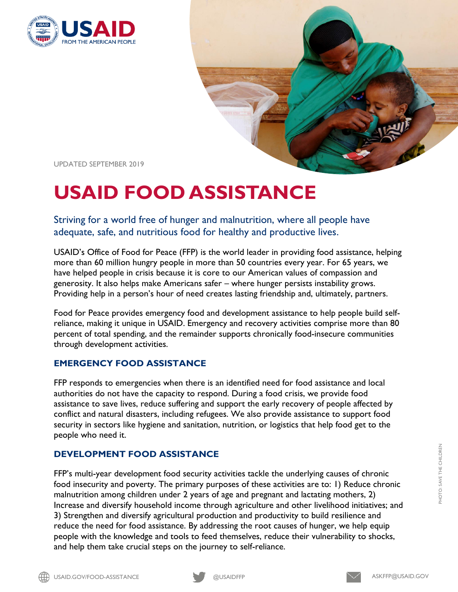



UPDATED SEPTEMBER 2019

# **USAID FOOD ASSISTANCE**

Striving for a world free of hunger and malnutrition, where all people have adequate, safe, and nutritious food for healthy and productive lives.

USAID's Office of Food for Peace (FFP) is the world leader in providing food assistance, helping more than 60 million hungry people in more than 50 countries every year. For 65 years, we have helped people in crisis because it is core to our American values of compassion and generosity. It also helps make Americans safer – where hunger persists instability grows. Providing help in a person's hour of need creates lasting friendship and, ultimately, partners.

Food for Peace provides emergency food and development assistance to help people build selfreliance, making it unique in USAID. Emergency and recovery activities comprise more than 80 percent of total spending, and the remainder supports chronically food-insecure communities through development activities.

#### **EMERGENCY FOOD ASSISTANCE**

FFP responds to emergencies when there is an identified need for food assistance and local authorities do not have the capacity to respond. During a food crisis, we provide food assistance to save lives, reduce suffering and support the early recovery of people affected by conflict and natural disasters, including refugees. We also provide assistance to support food security in sectors like hygiene and sanitation, nutrition, or logistics that help food get to the people who need it.

#### **DEVELOPMENT FOOD ASSISTANCE**

FFP's multi-year development food security activities tackle the underlying causes of chronic food insecurity and poverty. The primary purposes of these activities are to: 1) Reduce chronic malnutrition among children under 2 years of age and pregnant and lactating mothers, 2) Increase and diversify household income through agriculture and other livelihood initiatives; and 3) Strengthen and diversify agricultural production and productivity to build resilience and reduce the need for food assistance. By addressing the root causes of hunger, we help equip people with the knowledge and tools to feed themselves, reduce their vulnerability to shocks, and help them take crucial steps on the journey to self-reliance.